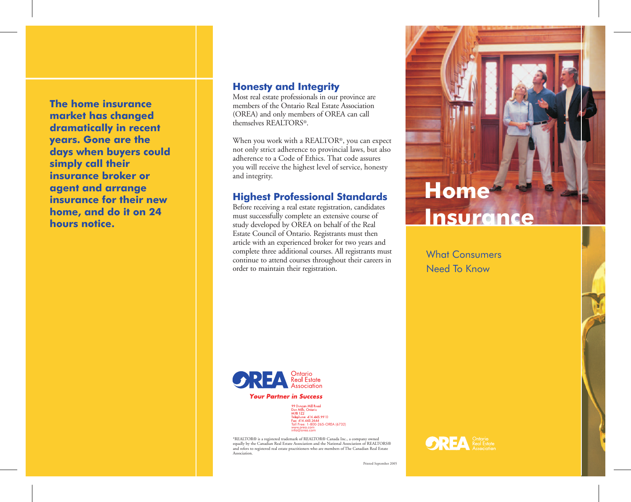**The home insurance market has changed dramatically in recent years. Gone are the days when buyers could simply call their insurance broker or agent and arrange insurance for their new home, and do it on 24 hours notice.**

#### **Honesty and Integrity**

Most real estate professionals in our province are members of the Ontario Real Estate Association (OREA) and only members of OREA can call themselves REALTORS<sup>®</sup>.

When you work with a REALTOR®, you can expect not only strict adherence to provincial laws, but also adherence to a Code of Ethics. That code assures you will receive the highest level of service, honesty and integrity.

#### **Highest Professional Standards**

Before receiving a real estate registration, candidates must successfully complete an extensive course of study developed by OREA on behalf of the Real Estate Council of Ontario. Registrants must then article with an experienced broker for two years and complete three additional courses. All registrants must continue to attend courses throughout their careers in order to maintain their registration.



What Consumers Need To Know

**OREA** *Real Estate* 



**Your Partner in Success** 

99 Duncan Mill Road<br>Don Mills, Ontario<br>M3B 1Z2<br>Talaskana A14 445 6 мэв тzz<br>Telephone: 416.445.9910<br>Fax: 416.445.2644 Toll Free: 1-800-265-OREA (6732) www.orea.com info@orea.com

\*REALTOR® is a registered trademark of REALTOR® Canada Inc., a company owned equally by the Canadian Real Estate Association and the National Association of REALTORS® and refers to registered real estate practitioners who are members of The Canadian Real Estate **Association** 

Printed September 2005